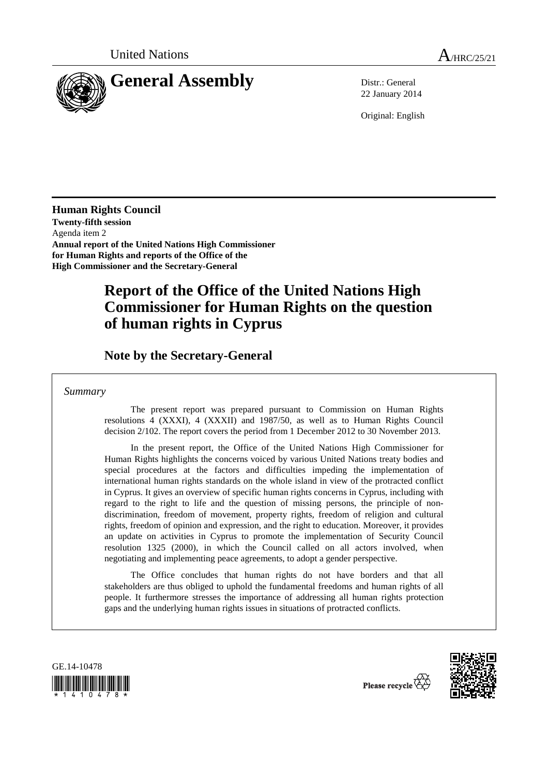

22 January 2014

Original: English

**Human Rights Council Twenty-fifth session**  Agenda item 2 **Annual report of the United Nations High Commissioner for Human Rights and reports of the Office of the High Commissioner and the Secretary-General** 

# **Report of the Office of the United Nations High Commissioner for Human Rights on the question of human rights in Cyprus**

 **Note by the Secretary-General** 

*Summary* 

 The present report was prepared pursuant to Commission on Human Rights resolutions 4 (XXXI), 4 (XXXII) and 1987/50, as well as to Human Rights Council decision 2/102. The report covers the period from 1 December 2012 to 30 November 2013.

 In the present report, the Office of the United Nations High Commissioner for Human Rights highlights the concerns voiced by various United Nations treaty bodies and special procedures at the factors and difficulties impeding the implementation of international human rights standards on the whole island in view of the protracted conflict in Cyprus. It gives an overview of specific human rights concerns in Cyprus, including with regard to the right to life and the question of missing persons, the principle of nondiscrimination, freedom of movement, property rights, freedom of religion and cultural rights, freedom of opinion and expression, and the right to education. Moreover, it provides an update on activities in Cyprus to promote the implementation of Security Council resolution 1325 (2000), in which the Council called on all actors involved, when negotiating and implementing peace agreements, to adopt a gender perspective.

 The Office concludes that human rights do not have borders and that all stakeholders are thus obliged to uphold the fundamental freedoms and human rights of all people. It furthermore stresses the importance of addressing all human rights protection gaps and the underlying human rights issues in situations of protracted conflicts.



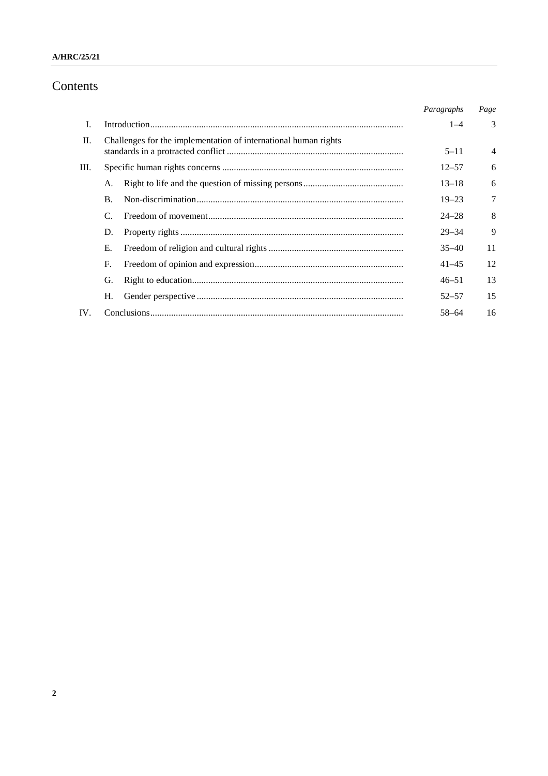## **A/HRC/25/21**

# Contents

|     |                                                                 | Paragraphs | Page           |
|-----|-----------------------------------------------------------------|------------|----------------|
| I.  |                                                                 | $1 - 4$    | 3              |
| II. | Challenges for the implementation of international human rights | $5 - 11$   | $\overline{4}$ |
| Ш.  |                                                                 | $12 - 57$  | 6              |
|     | А.                                                              | $13 - 18$  | 6              |
|     | <b>B.</b>                                                       | $19 - 23$  | 7              |
|     | $\mathcal{C}$                                                   | $24 - 28$  | 8              |
|     | D.                                                              | $29 - 34$  | 9              |
|     | Е.                                                              | $35 - 40$  | 11             |
|     | F.                                                              | $41 - 45$  | 12             |
|     | G.                                                              | $46 - 51$  | 13             |
|     | Н.                                                              | $52 - 57$  | 15             |
| IV. |                                                                 | 58-64      | 16             |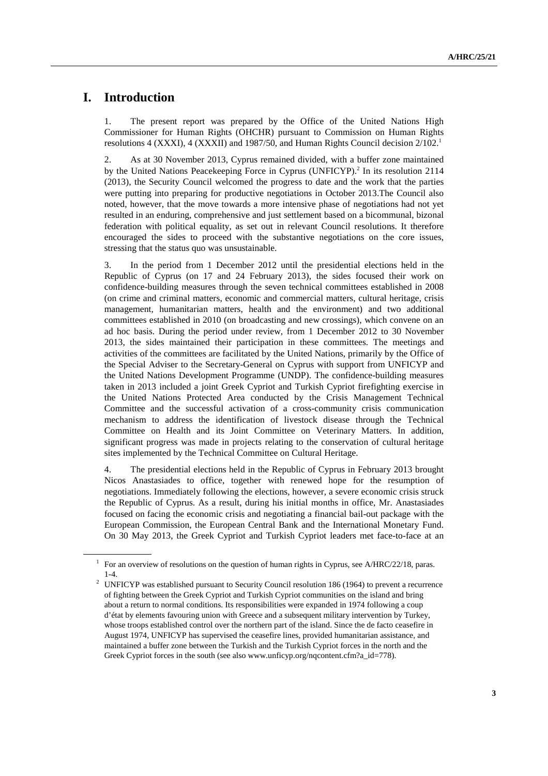# **I. Introduction**

1. The present report was prepared by the Office of the United Nations High Commissioner for Human Rights (OHCHR) pursuant to Commission on Human Rights resolutions 4 (XXXI), 4 (XXXII) and 1987/50, and Human Rights Council decision  $2/102<sup>1</sup>$ 

2. As at 30 November 2013, Cyprus remained divided, with a buffer zone maintained by the United Nations Peacekeeping Force in Cyprus (UNFICYP).<sup>2</sup> In its resolution 2114 (2013), the Security Council welcomed the progress to date and the work that the parties were putting into preparing for productive negotiations in October 2013.The Council also noted, however, that the move towards a more intensive phase of negotiations had not yet resulted in an enduring, comprehensive and just settlement based on a bicommunal, bizonal federation with political equality, as set out in relevant Council resolutions. It therefore encouraged the sides to proceed with the substantive negotiations on the core issues, stressing that the status quo was unsustainable.

3. In the period from 1 December 2012 until the presidential elections held in the Republic of Cyprus (on 17 and 24 February 2013), the sides focused their work on confidence-building measures through the seven technical committees established in 2008 (on crime and criminal matters, economic and commercial matters, cultural heritage, crisis management, humanitarian matters, health and the environment) and two additional committees established in 2010 (on broadcasting and new crossings), which convene on an ad hoc basis. During the period under review, from 1 December 2012 to 30 November 2013, the sides maintained their participation in these committees. The meetings and activities of the committees are facilitated by the United Nations, primarily by the Office of the Special Adviser to the Secretary-General on Cyprus with support from UNFICYP and the United Nations Development Programme (UNDP). The confidence-building measures taken in 2013 included a joint Greek Cypriot and Turkish Cypriot firefighting exercise in the United Nations Protected Area conducted by the Crisis Management Technical Committee and the successful activation of a cross-community crisis communication mechanism to address the identification of livestock disease through the Technical Committee on Health and its Joint Committee on Veterinary Matters. In addition, significant progress was made in projects relating to the conservation of cultural heritage sites implemented by the Technical Committee on Cultural Heritage.

4. The presidential elections held in the Republic of Cyprus in February 2013 brought Nicos Anastasiades to office, together with renewed hope for the resumption of negotiations. Immediately following the elections, however, a severe economic crisis struck the Republic of Cyprus. As a result, during his initial months in office, Mr. Anastasiades focused on facing the economic crisis and negotiating a financial bail-out package with the European Commission, the European Central Bank and the International Monetary Fund. On 30 May 2013, the Greek Cypriot and Turkish Cypriot leaders met face-to-face at an

<sup>1</sup> For an overview of resolutions on the question of human rights in Cyprus, see A/HRC/22/18, paras.

<sup>1-4. 2</sup> UNFICYP was established pursuant to Security Council resolution 186 (1964) to prevent a recurrence of fighting between the Greek Cypriot and Turkish Cypriot communities on the island and bring about a return to normal conditions. Its responsibilities were expanded in 1974 following a coup d'état by elements favouring union with Greece and a subsequent military intervention by Turkey, whose troops established control over the northern part of the island. Since the de facto ceasefire in August 1974, UNFICYP has supervised the ceasefire lines, provided humanitarian assistance, and maintained a buffer zone between the Turkish and the Turkish Cypriot forces in the north and the Greek Cypriot forces in the south (see also www.unficyp.org/nqcontent.cfm?a\_id=778).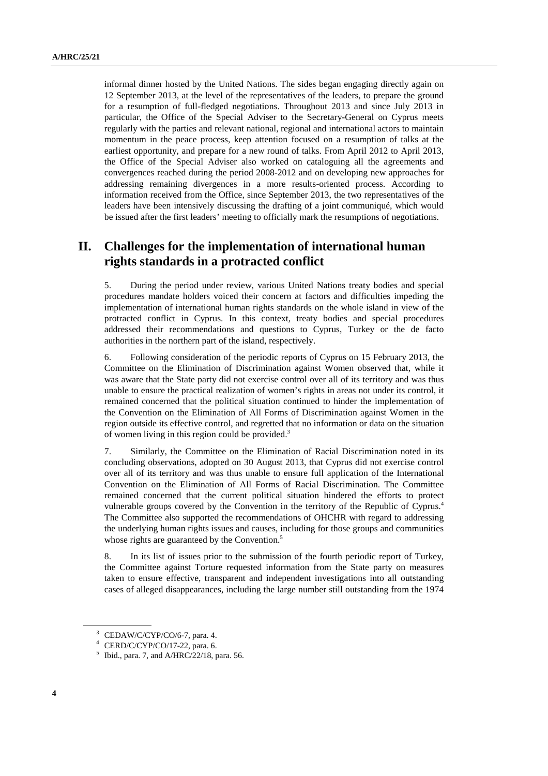informal dinner hosted by the United Nations. The sides began engaging directly again on 12 September 2013, at the level of the representatives of the leaders, to prepare the ground for a resumption of full-fledged negotiations. Throughout 2013 and since July 2013 in particular, the Office of the Special Adviser to the Secretary-General on Cyprus meets regularly with the parties and relevant national, regional and international actors to maintain momentum in the peace process, keep attention focused on a resumption of talks at the earliest opportunity, and prepare for a new round of talks. From April 2012 to April 2013, the Office of the Special Adviser also worked on cataloguing all the agreements and convergences reached during the period 2008-2012 and on developing new approaches for addressing remaining divergences in a more results-oriented process. According to information received from the Office, since September 2013, the two representatives of the leaders have been intensively discussing the drafting of a joint communiqué, which would be issued after the first leaders' meeting to officially mark the resumptions of negotiations.

# **II. Challenges for the implementation of international human rights standards in a protracted conflict**

5. During the period under review, various United Nations treaty bodies and special procedures mandate holders voiced their concern at factors and difficulties impeding the implementation of international human rights standards on the whole island in view of the protracted conflict in Cyprus. In this context, treaty bodies and special procedures addressed their recommendations and questions to Cyprus, Turkey or the de facto authorities in the northern part of the island, respectively.

6. Following consideration of the periodic reports of Cyprus on 15 February 2013, the Committee on the Elimination of Discrimination against Women observed that, while it was aware that the State party did not exercise control over all of its territory and was thus unable to ensure the practical realization of women's rights in areas not under its control, it remained concerned that the political situation continued to hinder the implementation of the Convention on the Elimination of All Forms of Discrimination against Women in the region outside its effective control, and regretted that no information or data on the situation of women living in this region could be provided.<sup>3</sup>

7. Similarly, the Committee on the Elimination of Racial Discrimination noted in its concluding observations, adopted on 30 August 2013, that Cyprus did not exercise control over all of its territory and was thus unable to ensure full application of the International Convention on the Elimination of All Forms of Racial Discrimination. The Committee remained concerned that the current political situation hindered the efforts to protect vulnerable groups covered by the Convention in the territory of the Republic of Cyprus.4 The Committee also supported the recommendations of OHCHR with regard to addressing the underlying human rights issues and causes, including for those groups and communities whose rights are guaranteed by the Convention.<sup>5</sup>

8. In its list of issues prior to the submission of the fourth periodic report of Turkey, the Committee against Torture requested information from the State party on measures taken to ensure effective, transparent and independent investigations into all outstanding cases of alleged disappearances, including the large number still outstanding from the 1974

 $3$  CEDAW/C/CYP/CO/6-7, para. 4.

<sup>4</sup> CERD/C/CYP/CO/17-22, para. 6.

 $<sup>5</sup>$  Ibid., para. 7, and A/HRC/22/18, para. 56.</sup>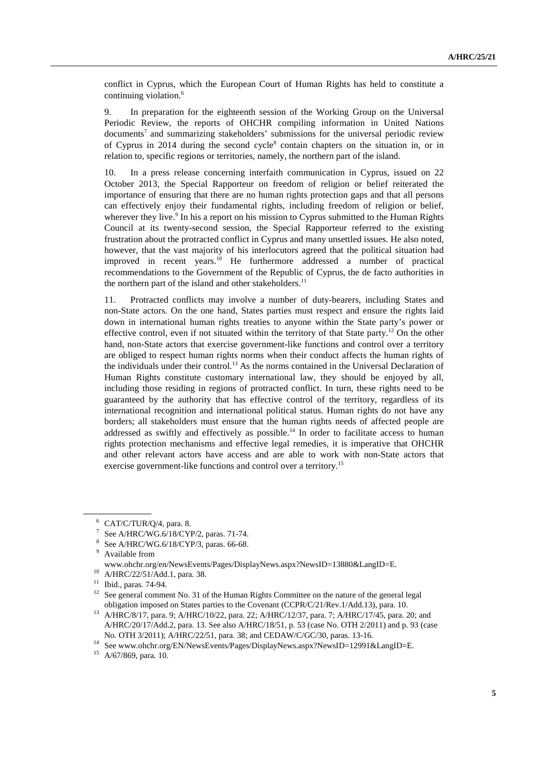conflict in Cyprus, which the European Court of Human Rights has held to constitute a continuing violation.<sup>6</sup>

9. In preparation for the eighteenth session of the Working Group on the Universal Periodic Review, the reports of OHCHR compiling information in United Nations documents<sup>7</sup> and summarizing stakeholders' submissions for the universal periodic review of Cyprus in 2014 during the second cycle<sup>8</sup> contain chapters on the situation in, or in relation to, specific regions or territories, namely, the northern part of the island.

10. In a press release concerning interfaith communication in Cyprus, issued on 22 October 2013, the Special Rapporteur on freedom of religion or belief reiterated the importance of ensuring that there are no human rights protection gaps and that all persons can effectively enjoy their fundamental rights, including freedom of religion or belief, wherever they live.<sup>9</sup> In his a report on his mission to Cyprus submitted to the Human Rights Council at its twenty-second session, the Special Rapporteur referred to the existing frustration about the protracted conflict in Cyprus and many unsettled issues. He also noted, however, that the vast majority of his interlocutors agreed that the political situation had improved in recent years.<sup>10</sup> He furthermore addressed a number of practical recommendations to the Government of the Republic of Cyprus, the de facto authorities in the northern part of the island and other stakeholders.<sup>11</sup>

11. Protracted conflicts may involve a number of duty-bearers, including States and non-State actors. On the one hand, States parties must respect and ensure the rights laid down in international human rights treaties to anyone within the State party's power or effective control, even if not situated within the territory of that State party.<sup>12</sup> On the other hand, non-State actors that exercise government-like functions and control over a territory are obliged to respect human rights norms when their conduct affects the human rights of the individuals under their control.13 As the norms contained in the Universal Declaration of Human Rights constitute customary international law, they should be enjoyed by all, including those residing in regions of protracted conflict. In turn, these rights need to be guaranteed by the authority that has effective control of the territory, regardless of its international recognition and international political status. Human rights do not have any borders; all stakeholders must ensure that the human rights needs of affected people are addressed as swiftly and effectively as possible.<sup>14</sup> In order to facilitate access to human rights protection mechanisms and effective legal remedies, it is imperative that OHCHR and other relevant actors have access and are able to work with non-State actors that exercise government-like functions and control over a territory.15

<sup>6</sup> CAT/C/TUR/Q/4, para. 8.

<sup>7</sup> See A/HRC/WG.6/18/CYP/2, paras. 71-74.

<sup>8</sup> See A/HRC/WG.6/18/CYP/3, paras. 66-68.

<sup>9</sup> Available from

www.ohchr.org/en/NewsEvents/Pages/DisplayNews.aspx?NewsID=13880&LangID=E. 10 A/HRC/22/51/Add.1, para. 38.

<sup>11</sup> Ibid., paras. 74-94.

<sup>&</sup>lt;sup>12</sup> See general comment No. 31 of the Human Rights Committee on the nature of the general legal

obligation imposed on States parties to the Covenant (CCPR/C/21/Rev.1/Add.13), para. 10. 13 A/HRC/8/17, para. 9; A/HRC/10/22, para. 22; A/HRC/12/37, para. 7; A/HRC/17/45, para. 20; and A/HRC/20/17/Add.2, para. 13. See also A/HRC/18/51, p. 53 (case No. OTH 2/2011) and p. 93 (case No. OTH 3/2011); A/HRC/22/51, para. 38; and CEDAW/C/GC/30, paras. 13-16. 14 See www.ohchr.org/EN/NewsEvents/Pages/DisplayNews.aspx?NewsID=12991&LangID=E.

<sup>15</sup> A/67/869, para. 10.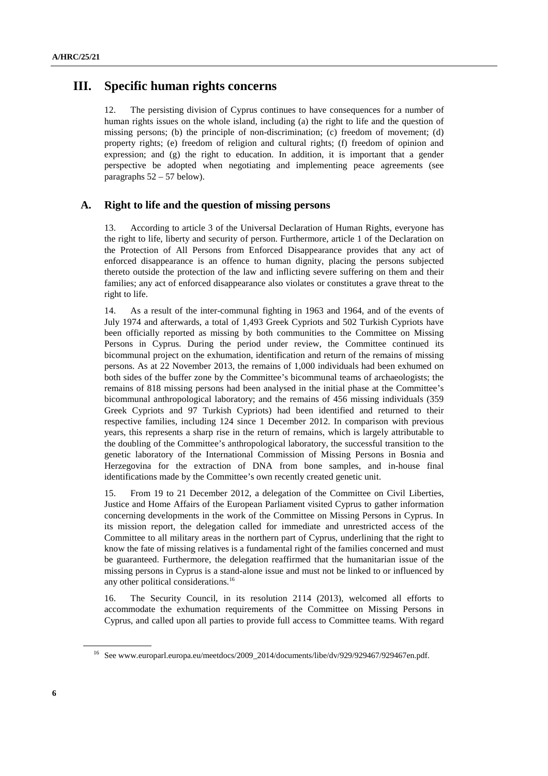# **III. Specific human rights concerns**

12. The persisting division of Cyprus continues to have consequences for a number of human rights issues on the whole island, including (a) the right to life and the question of missing persons; (b) the principle of non-discrimination; (c) freedom of movement; (d) property rights; (e) freedom of religion and cultural rights; (f) freedom of opinion and expression; and (g) the right to education. In addition, it is important that a gender perspective be adopted when negotiating and implementing peace agreements (see paragraphs 52 – 57 below).

#### **A. Right to life and the question of missing persons**

13. According to article 3 of the Universal Declaration of Human Rights, everyone has the right to life, liberty and security of person. Furthermore, article 1 of the Declaration on the Protection of All Persons from Enforced Disappearance provides that any act of enforced disappearance is an offence to human dignity, placing the persons subjected thereto outside the protection of the law and inflicting severe suffering on them and their families; any act of enforced disappearance also violates or constitutes a grave threat to the right to life.

14. As a result of the inter-communal fighting in 1963 and 1964, and of the events of July 1974 and afterwards, a total of 1,493 Greek Cypriots and 502 Turkish Cypriots have been officially reported as missing by both communities to the Committee on Missing Persons in Cyprus. During the period under review, the Committee continued its bicommunal project on the exhumation, identification and return of the remains of missing persons. As at 22 November 2013, the remains of 1,000 individuals had been exhumed on both sides of the buffer zone by the Committee's bicommunal teams of archaeologists; the remains of 818 missing persons had been analysed in the initial phase at the Committee's bicommunal anthropological laboratory; and the remains of 456 missing individuals (359 Greek Cypriots and 97 Turkish Cypriots) had been identified and returned to their respective families, including 124 since 1 December 2012. In comparison with previous years, this represents a sharp rise in the return of remains, which is largely attributable to the doubling of the Committee's anthropological laboratory, the successful transition to the genetic laboratory of the International Commission of Missing Persons in Bosnia and Herzegovina for the extraction of DNA from bone samples, and in-house final identifications made by the Committee's own recently created genetic unit.

15. From 19 to 21 December 2012, a delegation of the Committee on Civil Liberties, Justice and Home Affairs of the European Parliament visited Cyprus to gather information concerning developments in the work of the Committee on Missing Persons in Cyprus. In its mission report, the delegation called for immediate and unrestricted access of the Committee to all military areas in the northern part of Cyprus, underlining that the right to know the fate of missing relatives is a fundamental right of the families concerned and must be guaranteed. Furthermore, the delegation reaffirmed that the humanitarian issue of the missing persons in Cyprus is a stand-alone issue and must not be linked to or influenced by any other political considerations.<sup>16</sup>

16. The Security Council, in its resolution 2114 (2013), welcomed all efforts to accommodate the exhumation requirements of the Committee on Missing Persons in Cyprus, and called upon all parties to provide full access to Committee teams. With regard

<sup>&</sup>lt;sup>16</sup> See www.europarl.europa.eu/meetdocs/2009\_2014/documents/libe/dv/929/929467/929467en.pdf.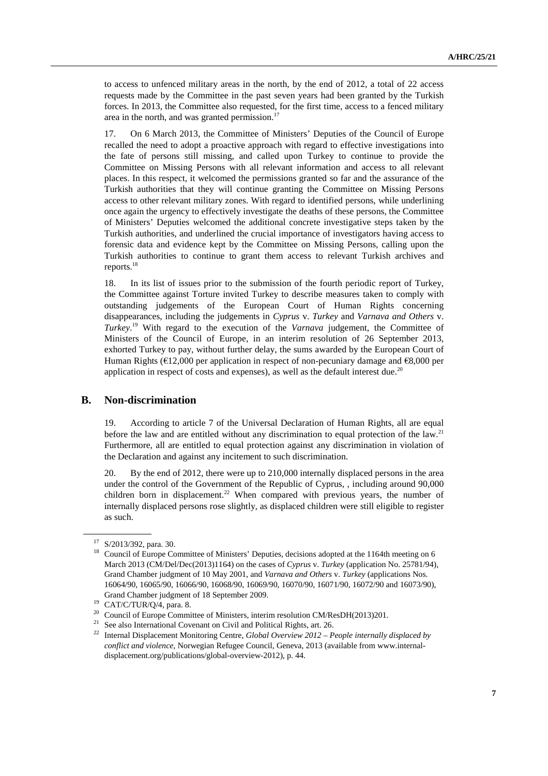to access to unfenced military areas in the north, by the end of 2012, a total of 22 access requests made by the Committee in the past seven years had been granted by the Turkish forces. In 2013, the Committee also requested, for the first time, access to a fenced military area in the north, and was granted permission. $17$ 

17. On 6 March 2013, the Committee of Ministers' Deputies of the Council of Europe recalled the need to adopt a proactive approach with regard to effective investigations into the fate of persons still missing, and called upon Turkey to continue to provide the Committee on Missing Persons with all relevant information and access to all relevant places. In this respect, it welcomed the permissions granted so far and the assurance of the Turkish authorities that they will continue granting the Committee on Missing Persons access to other relevant military zones. With regard to identified persons, while underlining once again the urgency to effectively investigate the deaths of these persons, the Committee of Ministers' Deputies welcomed the additional concrete investigative steps taken by the Turkish authorities, and underlined the crucial importance of investigators having access to forensic data and evidence kept by the Committee on Missing Persons, calling upon the Turkish authorities to continue to grant them access to relevant Turkish archives and reports.18

18. In its list of issues prior to the submission of the fourth periodic report of Turkey, the Committee against Torture invited Turkey to describe measures taken to comply with outstanding judgements of the European Court of Human Rights concerning disappearances, including the judgements in *Cyprus* v. *Turkey* and *Varnava and Others* v. *Turkey*. 19 With regard to the execution of the *Varnava* judgement, the Committee of Ministers of the Council of Europe, in an interim resolution of 26 September 2013, exhorted Turkey to pay, without further delay, the sums awarded by the European Court of Human Rights ( $\epsilon$ 12,000 per application in respect of non-pecuniary damage and  $\epsilon$ 8,000 per application in respect of costs and expenses), as well as the default interest due.<sup>20</sup>

# **B. Non-discrimination**

19. According to article 7 of the Universal Declaration of Human Rights, all are equal before the law and are entitled without any discrimination to equal protection of the law.<sup>21</sup> Furthermore, all are entitled to equal protection against any discrimination in violation of the Declaration and against any incitement to such discrimination.

20. By the end of 2012, there were up to 210,000 internally displaced persons in the area under the control of the Government of the Republic of Cyprus, , including around 90,000 children born in displacement.<sup>22</sup> When compared with previous years, the number of internally displaced persons rose slightly, as displaced children were still eligible to register as such.

<sup>17</sup> S/2013/392, para. 30.

<sup>&</sup>lt;sup>18</sup> Council of Europe Committee of Ministers' Deputies, decisions adopted at the 1164th meeting on 6 March 2013 (CM/Del/Dec(2013)1164) on the cases of *Cyprus* v. *Turkey* (application No. 25781/94), Grand Chamber judgment of 10 May 2001, and *Varnava and Others* v. *Turkey* (applications Nos. 16064/90, 16065/90, 16066/90, 16068/90, 16069/90, 16070/90, 16071/90, 16072/90 and 16073/90), Grand Chamber judgment of 18 September 2009.<br><sup>19</sup> CAT/C/TUR/Q/4, para. 8.

<sup>&</sup>lt;sup>20</sup> Council of Europe Committee of Ministers, interim resolution CM/ResDH(2013)201.<br><sup>21</sup> See also International Covenant on Civil and Political Rights, art. 26.

<sup>&</sup>lt;sup>22</sup> Internal Displacement Monitoring Centre, *Global Overview 2012 – People internally displaced by conflict and violence*, Norwegian Refugee Council, Geneva, 2013 (available from www.internaldisplacement.org/publications/global-overview-2012), p. 44.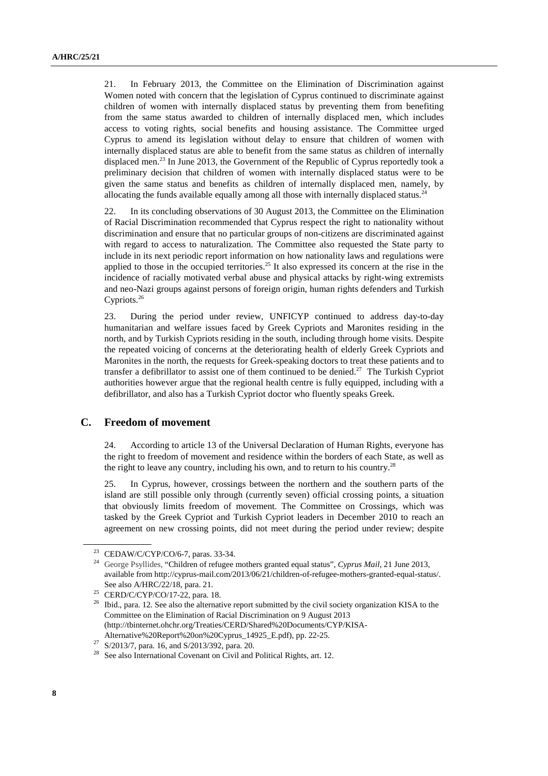21. In February 2013, the Committee on the Elimination of Discrimination against Women noted with concern that the legislation of Cyprus continued to discriminate against children of women with internally displaced status by preventing them from benefiting from the same status awarded to children of internally displaced men, which includes access to voting rights, social benefits and housing assistance. The Committee urged Cyprus to amend its legislation without delay to ensure that children of women with internally displaced status are able to benefit from the same status as children of internally displaced men.<sup>23</sup> In June 2013, the Government of the Republic of Cyprus reportedly took a preliminary decision that children of women with internally displaced status were to be given the same status and benefits as children of internally displaced men, namely, by allocating the funds available equally among all those with internally displaced status.<sup>24</sup>

22. In its concluding observations of 30 August 2013, the Committee on the Elimination of Racial Discrimination recommended that Cyprus respect the right to nationality without discrimination and ensure that no particular groups of non-citizens are discriminated against with regard to access to naturalization. The Committee also requested the State party to include in its next periodic report information on how nationality laws and regulations were applied to those in the occupied territories.<sup>25</sup> It also expressed its concern at the rise in the incidence of racially motivated verbal abuse and physical attacks by right-wing extremists and neo-Nazi groups against persons of foreign origin, human rights defenders and Turkish Cypriots.<sup>26</sup>

23. During the period under review, UNFICYP continued to address day-to-day humanitarian and welfare issues faced by Greek Cypriots and Maronites residing in the north, and by Turkish Cypriots residing in the south, including through home visits. Despite the repeated voicing of concerns at the deteriorating health of elderly Greek Cypriots and Maronites in the north, the requests for Greek-speaking doctors to treat these patients and to transfer a defibrillator to assist one of them continued to be denied.<sup>27</sup> The Turkish Cypriot authorities however argue that the regional health centre is fully equipped, including with a defibrillator, and also has a Turkish Cypriot doctor who fluently speaks Greek.

#### **C. Freedom of movement**

24. According to article 13 of the Universal Declaration of Human Rights, everyone has the right to freedom of movement and residence within the borders of each State, as well as the right to leave any country, including his own, and to return to his country.<sup>28</sup>

25. In Cyprus, however, crossings between the northern and the southern parts of the island are still possible only through (currently seven) official crossing points, a situation that obviously limits freedom of movement. The Committee on Crossings, which was tasked by the Greek Cypriot and Turkish Cypriot leaders in December 2010 to reach an agreement on new crossing points, did not meet during the period under review; despite

<sup>23</sup> CEDAW/C/CYP/CO/6-7, paras. 33-34.

<sup>&</sup>lt;sup>24</sup> George Psyllides, "Children of refugee mothers granted equal status", *Cyprus Mail*, 21 June 2013, available from http://cyprus-mail.com/2013/06/21/children-of-refugee-mothers-granted-equal-status/.

<sup>&</sup>lt;sup>25</sup> CERD/C/CYP/CO/17-22, para. 18.

<sup>&</sup>lt;sup>26</sup> Ibid., para. 12. See also the alternative report submitted by the civil society organization KISA to the Committee on the Elimination of Racial Discrimination on 9 August 2013 (http://tbinternet.ohchr.org/Treaties/CERD/Shared%20Documents/CYP/KISA-Alternative%20Report%20on%20Cyprus\_14925\_E.pdf), pp. 22-25.<br><sup>27</sup> S/2013/7, para. 16, and S/2013/392, para. 20.<br><sup>28</sup> See also International Covenant on Civil and Political Rights, art. 12.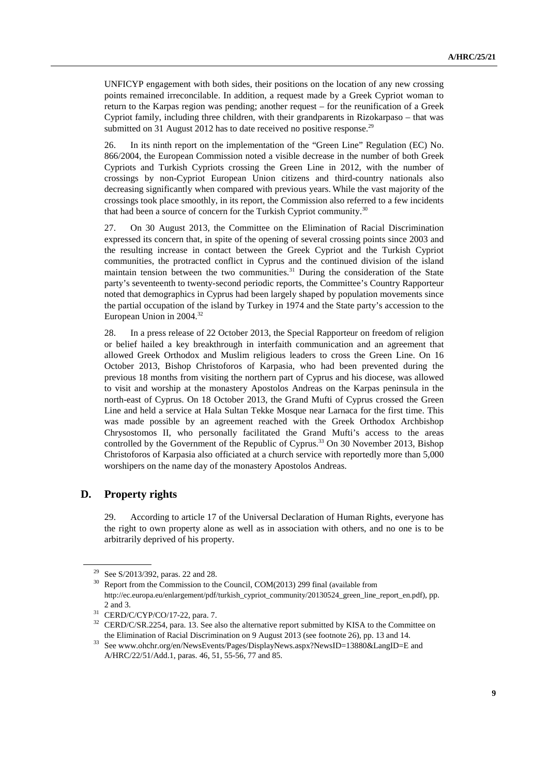UNFICYP engagement with both sides, their positions on the location of any new crossing points remained irreconcilable. In addition, a request made by a Greek Cypriot woman to return to the Karpas region was pending; another request – for the reunification of a Greek Cypriot family, including three children, with their grandparents in Rizokarpaso – that was submitted on 31 August 2012 has to date received no positive response.<sup>29</sup>

26. In its ninth report on the implementation of the "Green Line" Regulation (EC) No. 866/2004, the European Commission noted a visible decrease in the number of both Greek Cypriots and Turkish Cypriots crossing the Green Line in 2012, with the number of crossings by non-Cypriot European Union citizens and third-country nationals also decreasing significantly when compared with previous years. While the vast majority of the crossings took place smoothly, in its report, the Commission also referred to a few incidents that had been a source of concern for the Turkish Cypriot community.<sup>30</sup>

27. On 30 August 2013, the Committee on the Elimination of Racial Discrimination expressed its concern that, in spite of the opening of several crossing points since 2003 and the resulting increase in contact between the Greek Cypriot and the Turkish Cypriot communities, the protracted conflict in Cyprus and the continued division of the island maintain tension between the two communities. $31$  During the consideration of the State party's seventeenth to twenty-second periodic reports, the Committee's Country Rapporteur noted that demographics in Cyprus had been largely shaped by population movements since the partial occupation of the island by Turkey in 1974 and the State party's accession to the European Union in 2004.32

28. In a press release of 22 October 2013, the Special Rapporteur on freedom of religion or belief hailed a key breakthrough in interfaith communication and an agreement that allowed Greek Orthodox and Muslim religious leaders to cross the Green Line. On 16 October 2013, Bishop Christoforos of Karpasia, who had been prevented during the previous 18 months from visiting the northern part of Cyprus and his diocese, was allowed to visit and worship at the monastery Apostolos Andreas on the Karpas peninsula in the north-east of Cyprus. On 18 October 2013, the Grand Mufti of Cyprus crossed the Green Line and held a service at Hala Sultan Tekke Mosque near Larnaca for the first time. This was made possible by an agreement reached with the Greek Orthodox Archbishop Chrysostomos II, who personally facilitated the Grand Mufti's access to the areas controlled by the Government of the Republic of Cyprus.<sup>33</sup> On 30 November 2013, Bishop Christoforos of Karpasia also officiated at a church service with reportedly more than 5,000 worshipers on the name day of the monastery Apostolos Andreas.

# **D. Property rights**

29. According to article 17 of the Universal Declaration of Human Rights, everyone has the right to own property alone as well as in association with others, and no one is to be arbitrarily deprived of his property.

<sup>&</sup>lt;sup>29</sup> See S/2013/392, paras. 22 and 28.<br><sup>30</sup> Report from the Commission to the Council, COM(2013) 299 final (available from http://ec.europa.eu/enlargement/pdf/turkish\_cypriot\_community/20130524\_green\_line\_report\_en.pdf), pp.

<sup>2</sup> and 3.<br><sup>31</sup> CERD/C/CYP/CO/17-22, para. 7.<br><sup>32</sup> CERD/C/SR.2254, para. 13. See also the alternative report submitted by KISA to the Committee on

the Elimination of Racial Discrimination on 9 August 2013 (see footnote 26), pp. 13 and 14.<br>33 See www.ohchr.org/en/NewsEvents/Pages/DisplayNews.aspx?NewsID=13880&LangID=E and A/HRC/22/51/Add.1, paras. 46, 51, 55-56, 77 and 85.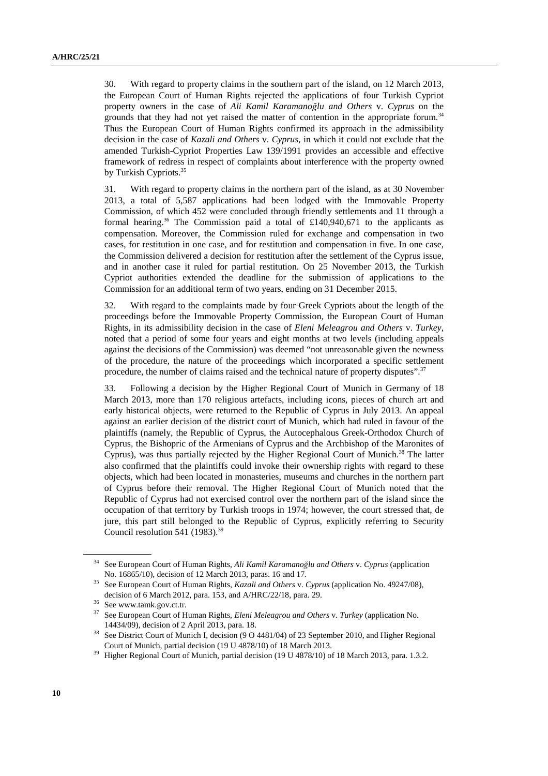30. With regard to property claims in the southern part of the island, on 12 March 2013, the European Court of Human Rights rejected the applications of four Turkish Cypriot property owners in the case of *Ali Kamil Karamanoğlu and Others* v. *Cyprus* on the grounds that they had not yet raised the matter of contention in the appropriate forum.34 Thus the European Court of Human Rights confirmed its approach in the admissibility decision in the case of *Kazali and Others* v. *Cyprus*, in which it could not exclude that the amended Turkish-Cypriot Properties Law 139/1991 provides an accessible and effective framework of redress in respect of complaints about interference with the property owned by Turkish Cypriots.<sup>35</sup>

31. With regard to property claims in the northern part of the island, as at 30 November 2013, a total of 5,587 applications had been lodged with the Immovable Property Commission, of which 452 were concluded through friendly settlements and 11 through a formal hearing.<sup>36</sup> The Commission paid a total of £140,940,671 to the applicants as compensation. Moreover, the Commission ruled for exchange and compensation in two cases, for restitution in one case, and for restitution and compensation in five. In one case, the Commission delivered a decision for restitution after the settlement of the Cyprus issue, and in another case it ruled for partial restitution. On 25 November 2013, the Turkish Cypriot authorities extended the deadline for the submission of applications to the Commission for an additional term of two years, ending on 31 December 2015.

32. With regard to the complaints made by four Greek Cypriots about the length of the proceedings before the Immovable Property Commission, the European Court of Human Rights, in its admissibility decision in the case of *Eleni Meleagrou and Others* v. *Turkey*, noted that a period of some four years and eight months at two levels (including appeals against the decisions of the Commission) was deemed "not unreasonable given the newness of the procedure, the nature of the proceedings which incorporated a specific settlement procedure, the number of claims raised and the technical nature of property disputes".37

33. Following a decision by the Higher Regional Court of Munich in Germany of 18 March 2013, more than 170 religious artefacts, including icons, pieces of church art and early historical objects, were returned to the Republic of Cyprus in July 2013. An appeal against an earlier decision of the district court of Munich, which had ruled in favour of the plaintiffs (namely, the Republic of Cyprus, the Autocephalous Greek-Orthodox Church of Cyprus, the Bishopric of the Armenians of Cyprus and the Archbishop of the Maronites of Cyprus), was thus partially rejected by the Higher Regional Court of Munich.<sup>38</sup> The latter also confirmed that the plaintiffs could invoke their ownership rights with regard to these objects, which had been located in monasteries, museums and churches in the northern part of Cyprus before their removal. The Higher Regional Court of Munich noted that the Republic of Cyprus had not exercised control over the northern part of the island since the occupation of that territory by Turkish troops in 1974; however, the court stressed that, de jure, this part still belonged to the Republic of Cyprus, explicitly referring to Security Council resolution 541 (1983).<sup>39</sup>

<sup>34</sup> See European Court of Human Rights, *Ali Kamil Karamanoğlu and Others* v. *Cyprus* (application

No. 16865/10), decision of 12 March 2013, paras. 16 and 17.<br>See European Court of Human Rights, *Kazali and Others v. Cyprus* (application No. 49247/08), decision of 6 March 2012, para. 153, and A/HRC/22/18, para. 29.<br><sup>36</sup> See www.tamk.gov.ct.tr.<br><sup>37</sup> See European Court of Human Bights, *Eleni Melasanou and Othe* 

<sup>37</sup> See European Court of Human Rights, *Eleni Meleagrou and Others* v. *Turkey* (application No. 14434/09), decision of 2 April 2013, para. 18.<br><sup>38</sup> See District Court of Munich I, decision (9 O 4481/04) of 23 September 2010, and Higher Regional

Court of Munich, partial decision (19 U 4878/10) of 18 March 2013. 39 Higher Regional Court of Munich, partial decision (19 U 4878/10) of 18 March 2013, para. 1.3.2.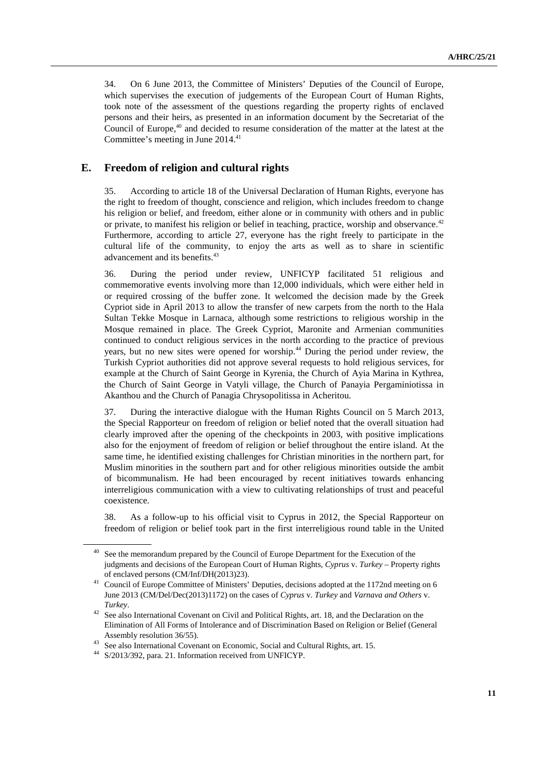34. On 6 June 2013, the Committee of Ministers' Deputies of the Council of Europe, which supervises the execution of judgements of the European Court of Human Rights, took note of the assessment of the questions regarding the property rights of enclaved persons and their heirs, as presented in an information document by the Secretariat of the Council of Europe, $40$  and decided to resume consideration of the matter at the latest at the Committee's meeting in June 2014.<sup>41</sup>

### **E. Freedom of religion and cultural rights**

35. According to article 18 of the Universal Declaration of Human Rights, everyone has the right to freedom of thought, conscience and religion, which includes freedom to change his religion or belief, and freedom, either alone or in community with others and in public or private, to manifest his religion or belief in teaching, practice, worship and observance.<sup>42</sup> Furthermore, according to article 27, everyone has the right freely to participate in the cultural life of the community, to enjoy the arts as well as to share in scientific advancement and its benefits.<sup>43</sup>

36. During the period under review, UNFICYP facilitated 51 religious and commemorative events involving more than 12,000 individuals, which were either held in or required crossing of the buffer zone. It welcomed the decision made by the Greek Cypriot side in April 2013 to allow the transfer of new carpets from the north to the Hala Sultan Tekke Mosque in Larnaca, although some restrictions to religious worship in the Mosque remained in place. The Greek Cypriot, Maronite and Armenian communities continued to conduct religious services in the north according to the practice of previous years, but no new sites were opened for worship.<sup>44</sup> During the period under review, the Turkish Cypriot authorities did not approve several requests to hold religious services, for example at the Church of Saint George in Kyrenia, the Church of Ayia Marina in Kythrea, the Church of Saint George in Vatyli village, the Church of Panayia Pergaminiotissa in Akanthou and the Church of Panagia Chrysopolitissa in Acheritou.

37. During the interactive dialogue with the Human Rights Council on 5 March 2013, the Special Rapporteur on freedom of religion or belief noted that the overall situation had clearly improved after the opening of the checkpoints in 2003, with positive implications also for the enjoyment of freedom of religion or belief throughout the entire island. At the same time, he identified existing challenges for Christian minorities in the northern part, for Muslim minorities in the southern part and for other religious minorities outside the ambit of bicommunalism. He had been encouraged by recent initiatives towards enhancing interreligious communication with a view to cultivating relationships of trust and peaceful coexistence.

38. As a follow-up to his official visit to Cyprus in 2012, the Special Rapporteur on freedom of religion or belief took part in the first interreligious round table in the United

See the memorandum prepared by the Council of Europe Department for the Execution of the judgments and decisions of the European Court of Human Rights, *Cyprus* v. *Turkey* – Property rights

of enclaved persons (CM/Inf/DH(2013)23). 41 Council of Europe Committee of Ministers' Deputies, decisions adopted at the 1172nd meeting on 6 June 2013 (CM/Del/Dec(2013)1172) on the cases of *Cyprus* v. *Turkey* and *Varnava and Others* v.

*Turkey*. 42 See also International Covenant on Civil and Political Rights, art. 18, and the Declaration on the Elimination of All Forms of Intolerance and of Discrimination Based on Religion or Belief (General

Assembly resolution 36/55).<br>
<sup>43</sup> See also International Covenant on Economic, Social and Cultural Rights, art. 15.<br>
<sup>44</sup> S/2013/392, para. 21. Information received from UNFICYP.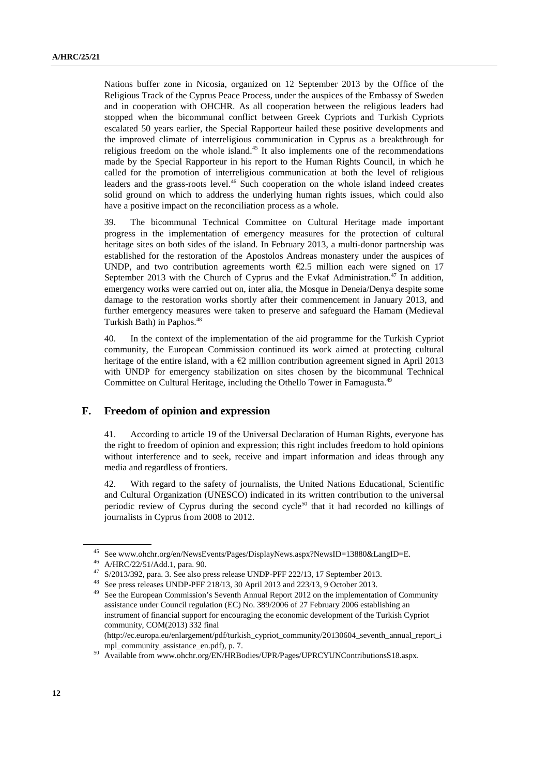Nations buffer zone in Nicosia, organized on 12 September 2013 by the Office of the Religious Track of the Cyprus Peace Process, under the auspices of the Embassy of Sweden and in cooperation with OHCHR. As all cooperation between the religious leaders had stopped when the bicommunal conflict between Greek Cypriots and Turkish Cypriots escalated 50 years earlier, the Special Rapporteur hailed these positive developments and the improved climate of interreligious communication in Cyprus as a breakthrough for religious freedom on the whole island.<sup>45</sup> It also implements one of the recommendations made by the Special Rapporteur in his report to the Human Rights Council, in which he called for the promotion of interreligious communication at both the level of religious leaders and the grass-roots level.<sup>46</sup> Such cooperation on the whole island indeed creates solid ground on which to address the underlying human rights issues, which could also have a positive impact on the reconciliation process as a whole.

39. The bicommunal Technical Committee on Cultural Heritage made important progress in the implementation of emergency measures for the protection of cultural heritage sites on both sides of the island. In February 2013, a multi-donor partnership was established for the restoration of the Apostolos Andreas monastery under the auspices of UNDP, and two contribution agreements worth  $\epsilon$ 2.5 million each were signed on 17 September 2013 with the Church of Cyprus and the Evkaf Administration.<sup>47</sup> In addition, emergency works were carried out on, inter alia, the Mosque in Deneia/Denya despite some damage to the restoration works shortly after their commencement in January 2013, and further emergency measures were taken to preserve and safeguard the Hamam (Medieval Turkish Bath) in Paphos.<sup>48</sup>

40. In the context of the implementation of the aid programme for the Turkish Cypriot community, the European Commission continued its work aimed at protecting cultural heritage of the entire island, with a  $\epsilon$ 2 million contribution agreement signed in April 2013 with UNDP for emergency stabilization on sites chosen by the bicommunal Technical Committee on Cultural Heritage, including the Othello Tower in Famagusta.49

#### **F. Freedom of opinion and expression**

41. According to article 19 of the Universal Declaration of Human Rights, everyone has the right to freedom of opinion and expression; this right includes freedom to hold opinions without interference and to seek, receive and impart information and ideas through any media and regardless of frontiers.

42. With regard to the safety of journalists, the United Nations Educational, Scientific and Cultural Organization (UNESCO) indicated in its written contribution to the universal periodic review of Cyprus during the second cycle<sup>50</sup> that it had recorded no killings of journalists in Cyprus from 2008 to 2012.

<sup>45</sup> See www.ohchr.org/en/NewsEvents/Pages/DisplayNews.aspx?NewsID=13880&LangID=E.

A/HRC/22/51/Add.1, para. 90.

 $^{47}$  S/2013/392, para. 3. See also press release UNDP-PFF 222/13, 17 September 2013.<br><sup>48</sup> See press releases UNDP-PFF 218/13, 30 April 2013 and 223/13, 9 October 2013.

See the European Commission's Seventh Annual Report 2012 on the implementation of Community assistance under Council regulation (EC) No. 389/2006 of 27 February 2006 establishing an instrument of financial support for encouraging the economic development of the Turkish Cypriot community, COM(2013) 332 final

<sup>(</sup>http://ec.europa.eu/enlargement/pdf/turkish\_cypriot\_community/20130604\_seventh\_annual\_report\_i mpl\_community\_assistance\_en.pdf), p. 7.<br>
<sup>50</sup> Available from www.ohchr.org/EN/HRBodies/UPR/Pages/UPRCYUNContributionsS18.aspx.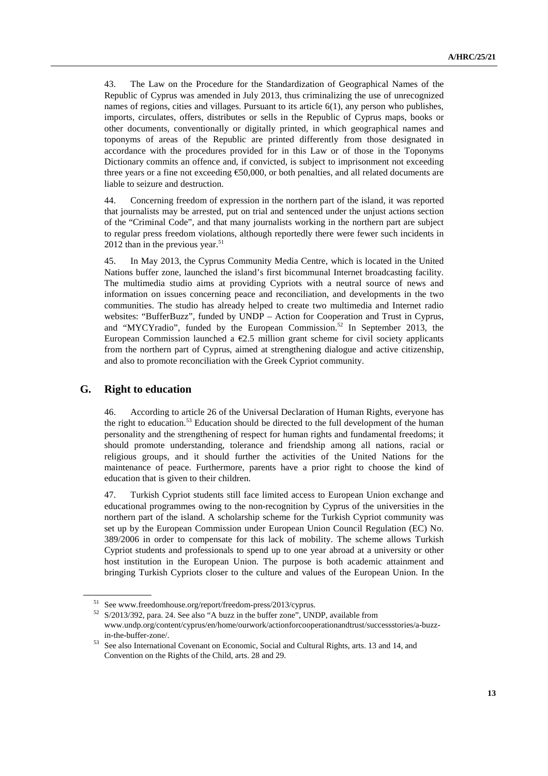43. The Law on the Procedure for the Standardization of Geographical Names of the Republic of Cyprus was amended in July 2013, thus criminalizing the use of unrecognized names of regions, cities and villages. Pursuant to its article 6(1), any person who publishes, imports, circulates, offers, distributes or sells in the Republic of Cyprus maps, books or other documents, conventionally or digitally printed, in which geographical names and toponyms of areas of the Republic are printed differently from those designated in accordance with the procedures provided for in this Law or of those in the Toponyms Dictionary commits an offence and, if convicted, is subject to imprisonment not exceeding three years or a fine not exceeding  $\epsilon$ 50,000, or both penalties, and all related documents are liable to seizure and destruction.

44. Concerning freedom of expression in the northern part of the island, it was reported that journalists may be arrested, put on trial and sentenced under the unjust actions section of the "Criminal Code", and that many journalists working in the northern part are subject to regular press freedom violations, although reportedly there were fewer such incidents in 2012 than in the previous year. $51$ 

45. In May 2013, the Cyprus Community Media Centre, which is located in the United Nations buffer zone, launched the island's first bicommunal Internet broadcasting facility. The multimedia studio aims at providing Cypriots with a neutral source of news and information on issues concerning peace and reconciliation, and developments in the two communities. The studio has already helped to create two multimedia and Internet radio websites: "BufferBuzz", funded by UNDP – Action for Cooperation and Trust in Cyprus, and "MYCYradio", funded by the European Commission.<sup>52</sup> In September 2013, the European Commission launched a  $\epsilon$ 2.5 million grant scheme for civil society applicants from the northern part of Cyprus, aimed at strengthening dialogue and active citizenship, and also to promote reconciliation with the Greek Cypriot community.

#### **G. Right to education**

46. According to article 26 of the Universal Declaration of Human Rights, everyone has the right to education.<sup>53</sup> Education should be directed to the full development of the human personality and the strengthening of respect for human rights and fundamental freedoms; it should promote understanding, tolerance and friendship among all nations, racial or religious groups, and it should further the activities of the United Nations for the maintenance of peace. Furthermore, parents have a prior right to choose the kind of education that is given to their children.

47. Turkish Cypriot students still face limited access to European Union exchange and educational programmes owing to the non-recognition by Cyprus of the universities in the northern part of the island. A scholarship scheme for the Turkish Cypriot community was set up by the European Commission under European Union Council Regulation (EC) No. 389/2006 in order to compensate for this lack of mobility. The scheme allows Turkish Cypriot students and professionals to spend up to one year abroad at a university or other host institution in the European Union. The purpose is both academic attainment and bringing Turkish Cypriots closer to the culture and values of the European Union. In the

<sup>&</sup>lt;sup>51</sup> See www.freedomhouse.org/report/freedom-press/2013/cyprus.<br><sup>52</sup> S/2013/392, para. 24. See also "A buzz in the buffer zone", UNDP, available from www.undp.org/content/cyprus/en/home/ourwork/actionforcooperationandtrust/successstories/a-buzz-

in-the-buffer-zone/. 53 See also International Covenant on Economic, Social and Cultural Rights, arts. 13 and 14, and Convention on the Rights of the Child, arts. 28 and 29.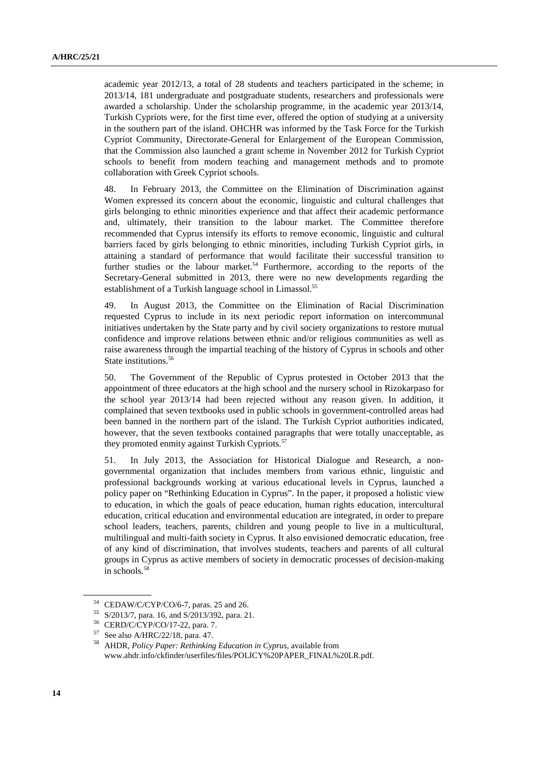academic year 2012/13, a total of 28 students and teachers participated in the scheme; in 2013/14, 181 undergraduate and postgraduate students, researchers and professionals were awarded a scholarship. Under the scholarship programme, in the academic year 2013/14, Turkish Cypriots were, for the first time ever, offered the option of studying at a university in the southern part of the island. OHCHR was informed by the Task Force for the Turkish Cypriot Community, Directorate-General for Enlargement of the European Commission, that the Commission also launched a grant scheme in November 2012 for Turkish Cypriot schools to benefit from modern teaching and management methods and to promote collaboration with Greek Cypriot schools.

48. In February 2013, the Committee on the Elimination of Discrimination against Women expressed its concern about the economic, linguistic and cultural challenges that girls belonging to ethnic minorities experience and that affect their academic performance and, ultimately, their transition to the labour market. The Committee therefore recommended that Cyprus intensify its efforts to remove economic, linguistic and cultural barriers faced by girls belonging to ethnic minorities, including Turkish Cypriot girls, in attaining a standard of performance that would facilitate their successful transition to further studies or the labour market.<sup>54</sup> Furthermore, according to the reports of the Secretary-General submitted in 2013, there were no new developments regarding the establishment of a Turkish language school in Limassol.<sup>55</sup>

49. In August 2013, the Committee on the Elimination of Racial Discrimination requested Cyprus to include in its next periodic report information on intercommunal initiatives undertaken by the State party and by civil society organizations to restore mutual confidence and improve relations between ethnic and/or religious communities as well as raise awareness through the impartial teaching of the history of Cyprus in schools and other State institutions.<sup>56</sup>

50. The Government of the Republic of Cyprus protested in October 2013 that the appointment of three educators at the high school and the nursery school in Rizokarpaso for the school year 2013/14 had been rejected without any reason given. In addition, it complained that seven textbooks used in public schools in government-controlled areas had been banned in the northern part of the island. The Turkish Cypriot authorities indicated, however, that the seven textbooks contained paragraphs that were totally unacceptable, as they promoted enmity against Turkish Cypriots.<sup>57</sup>

51. In July 2013, the Association for Historical Dialogue and Research, a nongovernmental organization that includes members from various ethnic, linguistic and professional backgrounds working at various educational levels in Cyprus, launched a policy paper on "Rethinking Education in Cyprus". In the paper, it proposed a holistic view to education, in which the goals of peace education, human rights education, intercultural education, critical education and environmental education are integrated, in order to prepare school leaders, teachers, parents, children and young people to live in a multicultural, multilingual and multi-faith society in Cyprus. It also envisioned democratic education, free of any kind of discrimination, that involves students, teachers and parents of all cultural groups in Cyprus as active members of society in democratic processes of decision-making in schools.58

<sup>54</sup> CEDAW/C/CYP/CO/6-7, paras. 25 and 26.

<sup>55</sup> S/2013/7, para. 16, and S/2013/392, para. 21.

<sup>56</sup> CERD/C/CYP/CO/17-22, para. 7.

<sup>57</sup> See also A/HRC/22/18, para. 47.

<sup>58</sup> AHDR, *Policy Paper: Rethinking Education in Cyprus*, available from www.ahdr.info/ckfinder/userfiles/files/POLICY%20PAPER\_FINAL%20LR.pdf.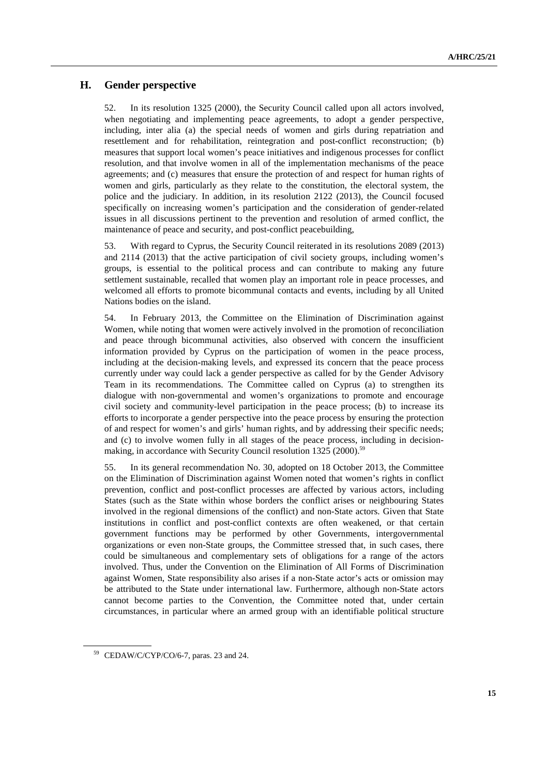# **H. Gender perspective**

52. In its resolution 1325 (2000), the Security Council called upon all actors involved, when negotiating and implementing peace agreements, to adopt a gender perspective, including, inter alia (a) the special needs of women and girls during repatriation and resettlement and for rehabilitation, reintegration and post-conflict reconstruction; (b) measures that support local women's peace initiatives and indigenous processes for conflict resolution, and that involve women in all of the implementation mechanisms of the peace agreements; and (c) measures that ensure the protection of and respect for human rights of women and girls, particularly as they relate to the constitution, the electoral system, the police and the judiciary. In addition, in its resolution 2122 (2013), the Council focused specifically on increasing women's participation and the consideration of gender-related issues in all discussions pertinent to the prevention and resolution of armed conflict, the maintenance of peace and security, and post-conflict peacebuilding,

53. With regard to Cyprus, the Security Council reiterated in its resolutions 2089 (2013) and 2114 (2013) that the active participation of civil society groups, including women's groups, is essential to the political process and can contribute to making any future settlement sustainable, recalled that women play an important role in peace processes, and welcomed all efforts to promote bicommunal contacts and events, including by all United Nations bodies on the island.

54. In February 2013, the Committee on the Elimination of Discrimination against Women, while noting that women were actively involved in the promotion of reconciliation and peace through bicommunal activities, also observed with concern the insufficient information provided by Cyprus on the participation of women in the peace process, including at the decision-making levels, and expressed its concern that the peace process currently under way could lack a gender perspective as called for by the Gender Advisory Team in its recommendations. The Committee called on Cyprus (a) to strengthen its dialogue with non-governmental and women's organizations to promote and encourage civil society and community-level participation in the peace process; (b) to increase its efforts to incorporate a gender perspective into the peace process by ensuring the protection of and respect for women's and girls' human rights, and by addressing their specific needs; and (c) to involve women fully in all stages of the peace process, including in decisionmaking, in accordance with Security Council resolution 1325 (2000).<sup>59</sup>

55. In its general recommendation No. 30, adopted on 18 October 2013, the Committee on the Elimination of Discrimination against Women noted that women's rights in conflict prevention, conflict and post-conflict processes are affected by various actors, including States (such as the State within whose borders the conflict arises or neighbouring States involved in the regional dimensions of the conflict) and non-State actors. Given that State institutions in conflict and post-conflict contexts are often weakened, or that certain government functions may be performed by other Governments, intergovernmental organizations or even non-State groups, the Committee stressed that, in such cases, there could be simultaneous and complementary sets of obligations for a range of the actors involved. Thus, under the Convention on the Elimination of All Forms of Discrimination against Women, State responsibility also arises if a non-State actor's acts or omission may be attributed to the State under international law. Furthermore, although non-State actors cannot become parties to the Convention, the Committee noted that, under certain circumstances, in particular where an armed group with an identifiable political structure

<sup>59</sup> CEDAW/C/CYP/CO/6-7, paras. 23 and 24.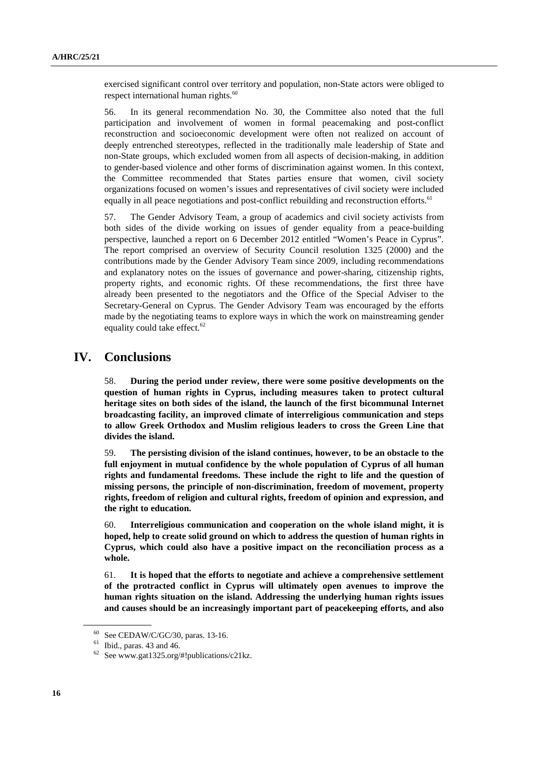exercised significant control over territory and population, non-State actors were obliged to respect international human rights.<sup>60</sup>

56. In its general recommendation No. 30, the Committee also noted that the full participation and involvement of women in formal peacemaking and post-conflict reconstruction and socioeconomic development were often not realized on account of deeply entrenched stereotypes, reflected in the traditionally male leadership of State and non-State groups, which excluded women from all aspects of decision-making, in addition to gender-based violence and other forms of discrimination against women. In this context, the Committee recommended that States parties ensure that women, civil society organizations focused on women's issues and representatives of civil society were included equally in all peace negotiations and post-conflict rebuilding and reconstruction efforts.<sup>61</sup>

57. The Gender Advisory Team, a group of academics and civil society activists from both sides of the divide working on issues of gender equality from a peace-building perspective, launched a report on 6 December 2012 entitled "Women's Peace in Cyprus". The report comprised an overview of Security Council resolution 1325 (2000) and the contributions made by the Gender Advisory Team since 2009, including recommendations and explanatory notes on the issues of governance and power-sharing, citizenship rights, property rights, and economic rights. Of these recommendations, the first three have already been presented to the negotiators and the Office of the Special Adviser to the Secretary-General on Cyprus. The Gender Advisory Team was encouraged by the efforts made by the negotiating teams to explore ways in which the work on mainstreaming gender equality could take effect.<sup>62</sup>

# **IV. Conclusions**

58. **During the period under review, there were some positive developments on the question of human rights in Cyprus, including measures taken to protect cultural heritage sites on both sides of the island, the launch of the first bicommunal Internet broadcasting facility, an improved climate of interreligious communication and steps to allow Greek Orthodox and Muslim religious leaders to cross the Green Line that divides the island.** 

59. **The persisting division of the island continues, however, to be an obstacle to the full enjoyment in mutual confidence by the whole population of Cyprus of all human rights and fundamental freedoms. These include the right to life and the question of missing persons, the principle of non-discrimination, freedom of movement, property rights, freedom of religion and cultural rights, freedom of opinion and expression, and the right to education.** 

60. **Interreligious communication and cooperation on the whole island might, it is hoped, help to create solid ground on which to address the question of human rights in Cyprus, which could also have a positive impact on the reconciliation process as a whole.** 

61. **It is hoped that the efforts to negotiate and achieve a comprehensive settlement of the protracted conflict in Cyprus will ultimately open avenues to improve the human rights situation on the island. Addressing the underlying human rights issues and causes should be an increasingly important part of peacekeeping efforts, and also** 

<sup>60</sup> See CEDAW/C/GC/30, paras. 13-16.

 $61$  Ibid., paras. 43 and 46.

 $62$  See www.gat1325.org/#!publications/c21kz.